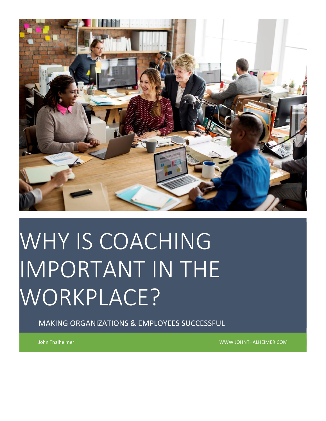

# WHY IS COACHING IMPORTANT IN THE WORKPLACE?

MAKING ORGANIZATIONS & EMPLOYEES SUCCESSFUL

John Thalheimer WWW.JOHNTHALHEIMER.COM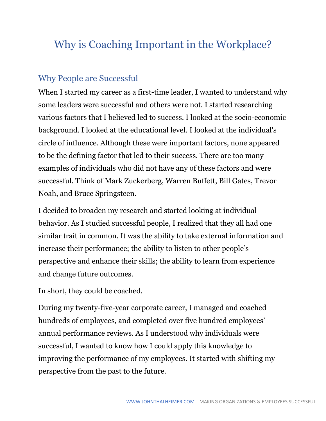# Why is Coaching Important in the Workplace?

# Why People are Successful

When I started my career as a first-time leader, I wanted to understand why some leaders were successful and others were not. I started researching various factors that I believed led to success. I looked at the socio-economic background. I looked at the educational level. I looked at the individual's circle of influence. Although these were important factors, none appeared to be the defining factor that led to their success. There are too many examples of individuals who did not have any of these factors and were successful. Think of Mark Zuckerberg, Warren Buffett, Bill Gates, Trevor Noah, and Bruce Springsteen.

I decided to broaden my research and started looking at individual behavior. As I studied successful people, I realized that they all had one similar trait in common. It was the ability to take external information and increase their performance; the ability to listen to other people's perspective and enhance their skills; the ability to learn from experience and change future outcomes.

In short, they could be coached.

During my twenty-five-year corporate career, I managed and coached hundreds of employees, and completed over five hundred employees' annual performance reviews. As I understood why individuals were successful, I wanted to know how I could apply this knowledge to improving the performance of my employees. It started with shifting my perspective from the past to the future.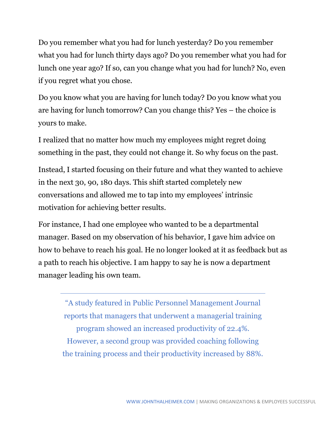Do you remember what you had for lunch yesterday? Do you remember what you had for lunch thirty days ago? Do you remember what you had for lunch one year ago? If so, can you change what you had for lunch? No, even if you regret what you chose.

Do you know what you are having for lunch today? Do you know what you are having for lunch tomorrow? Can you change this? Yes – the choice is yours to make.

I realized that no matter how much my employees might regret doing something in the past, they could not change it. So why focus on the past.

Instead, I started focusing on their future and what they wanted to achieve in the next 30, 90, 180 days. This shift started completely new conversations and allowed me to tap into my employees' intrinsic motivation for achieving better results.

For instance, I had one employee who wanted to be a departmental manager. Based on my observation of his behavior, I gave him advice on how to behave to reach his goal. He no longer looked at it as feedback but as a path to reach his objective. I am happy to say he is now a department manager leading his own team.

"A study featured in Public Personnel Management Journal reports that managers that underwent a managerial training program showed an increased productivity of 22.4%. However, a second group was provided coaching following the training process and their productivity increased by 88%.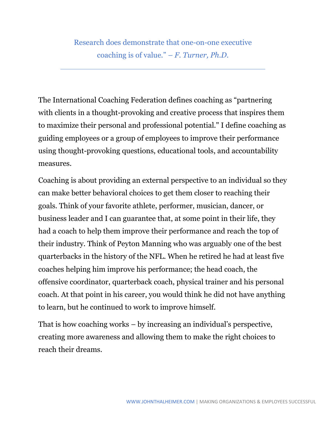Research does demonstrate that one-on-one executive coaching is of value." *– F. Turner, Ph.D.*

The International Coaching Federation defines coaching as "partnering with clients in a thought-provoking and creative process that inspires them to maximize their personal and professional potential." I define coaching as guiding employees or a group of employees to improve their performance using thought-provoking questions, educational tools, and accountability measures.

Coaching is about providing an external perspective to an individual so they can make better behavioral choices to get them closer to reaching their goals. Think of your favorite athlete, performer, musician, dancer, or business leader and I can guarantee that, at some point in their life, they had a coach to help them improve their performance and reach the top of their industry. Think of Peyton Manning who was arguably one of the best quarterbacks in the history of the NFL. When he retired he had at least five coaches helping him improve his performance; the head coach, the offensive coordinator, quarterback coach, physical trainer and his personal coach. At that point in his career, you would think he did not have anything to learn, but he continued to work to improve himself.

That is how coaching works – by increasing an individual's perspective, creating more awareness and allowing them to make the right choices to reach their dreams.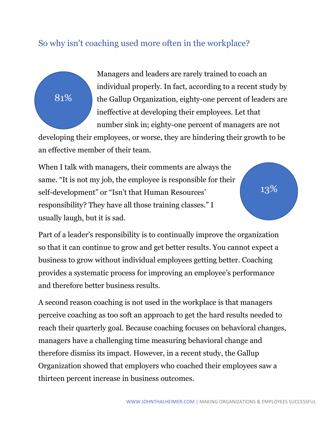# So why isn't coaching used more often in the workplace?

81%

Managers and leaders are rarely trained to coach an individual properly. In fact, according to a recent study by the Gallup Organization, eighty-one percent of leaders are ineffective at developing their employees. Let that number sink in; eighty-one percent of managers are not

developing their employees, or worse, they are hindering their growth to be an effective member of their team.

When I talk with managers, their comments are always the same. "It is not my job, the employee is responsible for their self-development" or "Isn't that Human Resources' responsibility? They have all those training classes." I usually laugh, but it is sad.

13%

Part of a leader's responsibility is to continually improve the organization so that it can continue to grow and get better results. You cannot expect a business to grow without individual employees getting better. Coaching provides a systematic process for improving an employee's performance and therefore better business results.

A second reason coaching is not used in the workplace is that managers perceive coaching as too soft an approach to get the hard results needed to reach their quarterly goal. Because coaching focuses on behavioral changes, managers have a challenging time measuring behavioral change and therefore dismiss its impact. However, in a recent study, the Gallup Organization showed that employers who coached their employees saw a thirteen percent increase in business outcomes.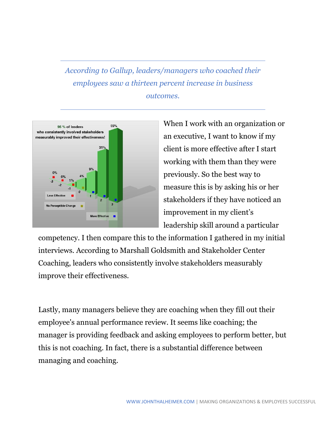*According to Gallup, leaders/managers who coached their employees saw a thirteen percent increase in business outcomes.* 



When I work with an organization or an executive, I want to know if my client is more effective after I start working with them than they were previously. So the best way to measure this is by asking his or her stakeholders if they have noticed an improvement in my client's leadership skill around a particular

competency. I then compare this to the information I gathered in my initial interviews. According to Marshall Goldsmith and Stakeholder Center Coaching, leaders who consistently involve stakeholders measurably improve their effectiveness.

Lastly, many managers believe they are coaching when they fill out their employee's annual performance review. It seems like coaching; the manager is providing feedback and asking employees to perform better, but this is not coaching. In fact, there is a substantial difference between managing and coaching.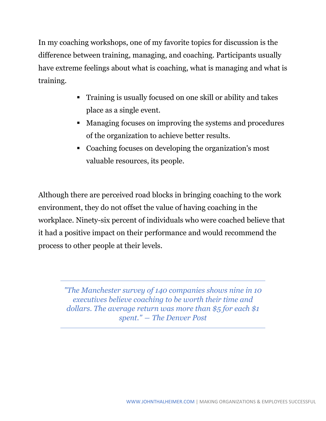In my coaching workshops, one of my favorite topics for discussion is the difference between training, managing, and coaching. Participants usually have extreme feelings about what is coaching, what is managing and what is training.

- Training is usually focused on one skill or ability and takes place as a single event.
- Managing focuses on improving the systems and procedures of the organization to achieve better results.
- Coaching focuses on developing the organization's most valuable resources, its people.

Although there are perceived road blocks in bringing coaching to the work environment, they do not offset the value of having coaching in the workplace. Ninety-six percent of individuals who were coached believe that it had a positive impact on their performance and would recommend the process to other people at their levels.

> *"The Manchester survey of 140 companies shows nine in 10 executives believe coaching to be worth their time and dollars. The average return was more than \$5 for each \$1 spent." ― The Denver Post*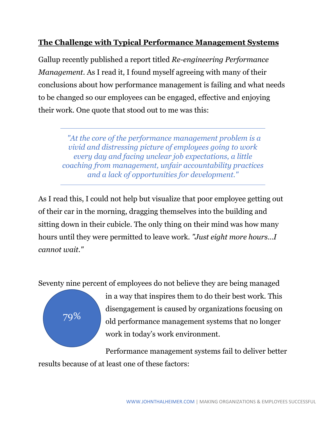#### **The Challenge with Typical Performance Management Systems**

Gallup recently published a report titled *Re-engineering Performance Management*. As I read it, I found myself agreeing with many of their conclusions about how performance management is failing and what needs to be changed so our employees can be engaged, effective and enjoying their work. One quote that stood out to me was this:

*"At the core of the performance management problem is a vivid and distressing picture of employees going to work every day and facing unclear job expectations, a little coaching from management, unfair accountability practices and a lack of opportunities for development."*

As I read this, I could not help but visualize that poor employee getting out of their car in the morning, dragging themselves into the building and sitting down in their cubicle. The only thing on their mind was how many hours until they were permitted to leave work. *"Just eight more hours…I cannot wait."*

Seventy nine percent of employees do not believe they are being managed



in a way that inspires them to do their best work. This disengagement is caused by organizations focusing on old performance management systems that no longer work in today's work environment.

Performance management systems fail to deliver better results because of at least one of these factors: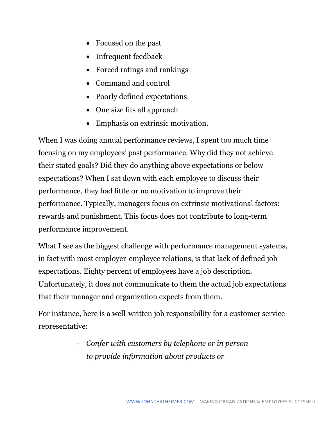- Focused on the past
- Infrequent feedback
- Forced ratings and rankings
- Command and control
- Poorly defined expectations
- One size fits all approach
- Emphasis on extrinsic motivation.

When I was doing annual performance reviews, I spent too much time focusing on my employees' past performance. Why did they not achieve their stated goals? Did they do anything above expectations or below expectations? When I sat down with each employee to discuss their performance, they had little or no motivation to improve their performance. Typically, managers focus on extrinsic motivational factors: rewards and punishment. This focus does not contribute to long-term performance improvement.

What I see as the biggest challenge with performance management systems, in fact with most employer-employee relations, is that lack of defined job expectations. Eighty percent of employees have a job description. Unfortunately, it does not communicate to them the actual job expectations that their manager and organization expects from them.

For instance, here is a well-written job responsibility for a customer service representative:

> *- Confer with customers by telephone or in person to provide information about products or*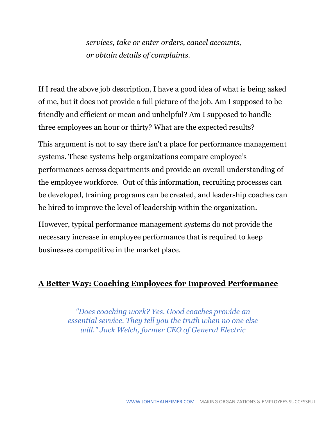*services, take or enter orders, cancel accounts, or obtain details of complaints.*

If I read the above job description, I have a good idea of what is being asked of me, but it does not provide a full picture of the job. Am I supposed to be friendly and efficient or mean and unhelpful? Am I supposed to handle three employees an hour or thirty? What are the expected results?

This argument is not to say there isn't a place for performance management systems. These systems help organizations compare employee's performances across departments and provide an overall understanding of the employee workforce. Out of this information, recruiting processes can be developed, training programs can be created, and leadership coaches can be hired to improve the level of leadership within the organization.

However, typical performance management systems do not provide the necessary increase in employee performance that is required to keep businesses competitive in the market place.

#### **A Better Way: Coaching Employees for Improved Performance**

*"Does coaching work? Yes. Good coaches provide an essential service. They tell you the truth when no one else will." Jack Welch, former CEO of General Electric*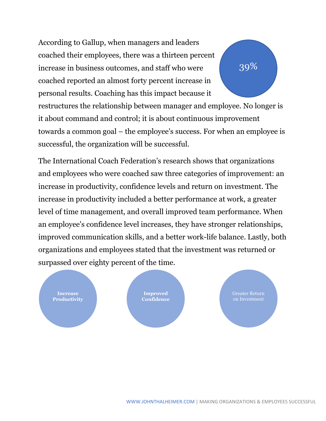According to Gallup, when managers and leaders coached their employees, there was a thirteen percent increase in business outcomes, and staff who were coached reported an almost forty percent increase in personal results. Coaching has this impact because it restructures the relationship between manager and employee. No longer is it about command and control; it is about continuous improvement towards a common goal – the employee's success. For when an employee is successful, the organization will be successful. 39%

The International Coach Federation's research shows that organizations and employees who were coached saw three categories of improvement: an increase in productivity, confidence levels and return on investment. The increase in productivity included a better performance at work, a greater level of time management, and overall improved team performance. When an employee's confidence level increases, they have stronger relationships, improved communication skills, and a better work-life balance. Lastly, both organizations and employees stated that the investment was returned or surpassed over eighty percent of the time.

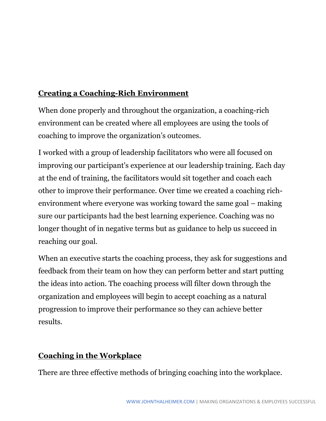## **Creating a Coaching-Rich Environment**

When done properly and throughout the organization, a coaching-rich environment can be created where all employees are using the tools of coaching to improve the organization's outcomes.

I worked with a group of leadership facilitators who were all focused on improving our participant's experience at our leadership training. Each day at the end of training, the facilitators would sit together and coach each other to improve their performance. Over time we created a coaching richenvironment where everyone was working toward the same goal – making sure our participants had the best learning experience. Coaching was no longer thought of in negative terms but as guidance to help us succeed in reaching our goal.

When an executive starts the coaching process, they ask for suggestions and feedback from their team on how they can perform better and start putting the ideas into action. The coaching process will filter down through the organization and employees will begin to accept coaching as a natural progression to improve their performance so they can achieve better results.

### **Coaching in the Workplace**

There are three effective methods of bringing coaching into the workplace.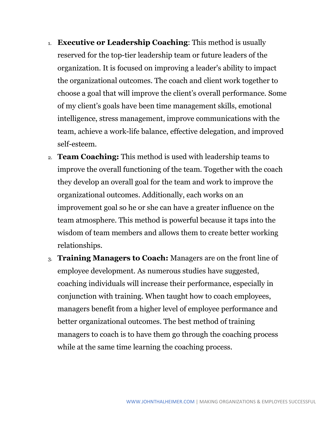- 1. **Executive or Leadership Coaching**: This method is usually reserved for the top-tier leadership team or future leaders of the organization. It is focused on improving a leader's ability to impact the organizational outcomes. The coach and client work together to choose a goal that will improve the client's overall performance. Some of my client's goals have been time management skills, emotional intelligence, stress management, improve communications with the team, achieve a work-life balance, effective delegation, and improved self-esteem.
- 2. **Team Coaching:** This method is used with leadership teams to improve the overall functioning of the team. Together with the coach they develop an overall goal for the team and work to improve the organizational outcomes. Additionally, each works on an improvement goal so he or she can have a greater influence on the team atmosphere. This method is powerful because it taps into the wisdom of team members and allows them to create better working relationships.
- 3. **Training Managers to Coach:** Managers are on the front line of employee development. As numerous studies have suggested, coaching individuals will increase their performance, especially in conjunction with training. When taught how to coach employees, managers benefit from a higher level of employee performance and better organizational outcomes. The best method of training managers to coach is to have them go through the coaching process while at the same time learning the coaching process.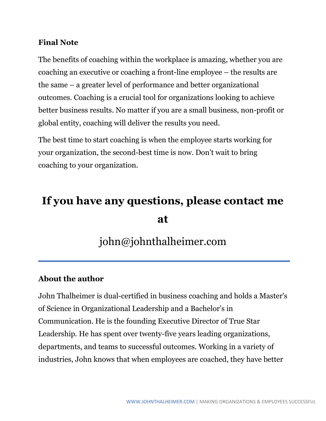#### **Final Note**

The benefits of coaching within the workplace is amazing, whether you are coaching an executive or coaching a front-line employee – the results are the same – a greater level of performance and better organizational outcomes. Coaching is a crucial tool for organizations looking to achieve better business results. No matter if you are a small business, non-profit or global entity, coaching will deliver the results you need.

The best time to start coaching is when the employee starts working for your organization, the second-best time is now. Don't wait to bring coaching to your organization.

# **If you have any questions, please contact me at**

# john@johnthalheimer.com

#### **About the author**

John Thalheimer is dual-certified in business coaching and holds a Master's of Science in Organizational Leadership and a Bachelor's in Communication. He is the founding Executive Director of True Star Leadership. He has spent over twenty-five years leading organizations, departments, and teams to successful outcomes. Working in a variety of industries, John knows that when employees are coached, they have better